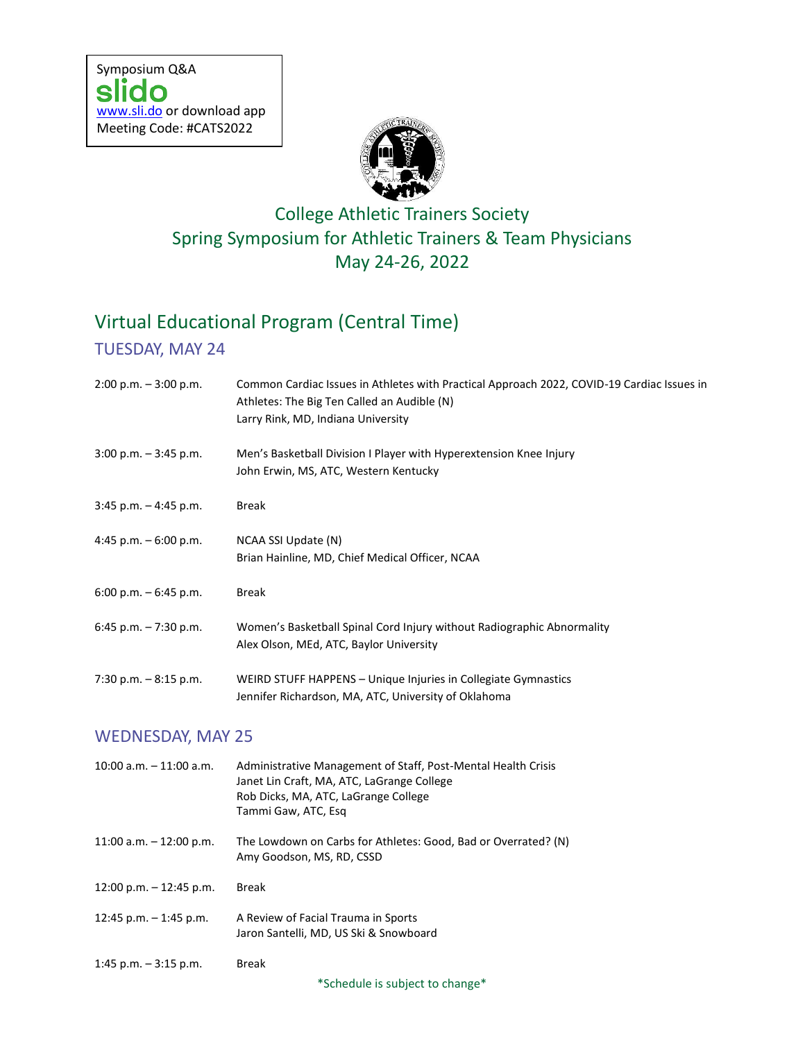

## College Athletic Trainers Society Spring Symposium for Athletic Trainers & Team Physicians May 24-26, 2022

# Virtual Educational Program (Central Time)

#### TUESDAY, MAY 24

| $2:00$ p.m. $-3:00$ p.m.  | Common Cardiac Issues in Athletes with Practical Approach 2022, COVID-19 Cardiac Issues in<br>Athletes: The Big Ten Called an Audible (N)<br>Larry Rink, MD, Indiana University |
|---------------------------|---------------------------------------------------------------------------------------------------------------------------------------------------------------------------------|
| $3:00$ p.m. $-3:45$ p.m.  | Men's Basketball Division I Player with Hyperextension Knee Injury<br>John Erwin, MS, ATC, Western Kentucky                                                                     |
| $3:45$ p.m. $-4:45$ p.m.  | <b>Break</b>                                                                                                                                                                    |
| 4:45 p.m. $-6:00$ p.m.    | NCAA SSI Update (N)<br>Brian Hainline, MD, Chief Medical Officer, NCAA                                                                                                          |
| 6:00 p.m. $-$ 6:45 p.m.   | <b>Break</b>                                                                                                                                                                    |
| 6:45 p.m. - 7:30 p.m.     | Women's Basketball Spinal Cord Injury without Radiographic Abnormality<br>Alex Olson, MEd, ATC, Baylor University                                                               |
| 7:30 p.m. - 8:15 p.m.     | WEIRD STUFF HAPPENS - Unique Injuries in Collegiate Gymnastics<br>Jennifer Richardson, MA, ATC, University of Oklahoma                                                          |
| <b>WEDNESDAY, MAY 25</b>  |                                                                                                                                                                                 |
| 10:00 a.m. - 11:00 a.m.   | Administrative Management of Staff, Post-Mental Health Crisis<br>Janet Lin Craft, MA, ATC, LaGrange College<br>Rob Dicks, MA, ATC, LaGrange College<br>Tammi Gaw, ATC, Esq      |
| 11:00 a.m. $-$ 12:00 p.m. | The Lowdown on Carbs for Athletes: Good, Bad or Overrated? (N)<br>Amy Goodson, MS, RD, CSSD                                                                                     |
| 12:00 p.m. $-$ 12:45 p.m. | <b>Break</b>                                                                                                                                                                    |
| 12:45 p.m. $-$ 1:45 p.m.  | A Review of Facial Trauma in Sports<br>Jaron Santelli, MD, US Ski & Snowboard                                                                                                   |
| 1:45 p.m. $-$ 3:15 p.m.   | <b>Break</b><br>*Schedule is subject to change*                                                                                                                                 |